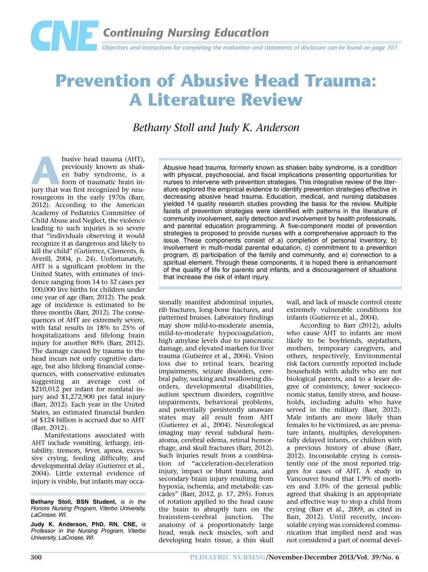

# **Prevention of Abusive Head Trauma: A Literature Review**

*Bethany Stoll and Judy K. Anderson*

**Abusive head trauma (AHT),**<br>previously known as shak-<br>en baby syndrome, is a<br>form of traumatic brain in-<br>jury that was first recognized by neupreviously known as shaken baby syndrome, is a form of traumatic brain inrosurgeons in the early 1970s (Barr, 2012). According to the American Academy of Pediatrics Committee of Child Abuse and Neglect, the violence leading to such injuries is so severe that "individuals observing it would recognize it as dangerous and likely to kill the child" (Gutierrez, Clements, & Averill, 2004, p. 24). Unfortunately, AHT is a significant problem in the United States, with estimates of incidence ranging from 14 to 32 cases per 100,000 live births for children under one year of age (Barr, 2012). The peak age of incidence is estimated to be three months (Barr, 2012). The consequences of AHT are extremely severe, with fatal results in 18% to 25% of hospitalizations and lifelong brain injury for another 80% (Barr, 2012). The damage caused by trauma to the head incurs not only cognitive damage, but also lifelong financial consequences, with conservative estimates suggesting an average cost of \$210,012 per infant for nonfatal in jury and \$1,272,900 per fatal injury (Barr, 2012). Each year in the United States, an estimated financial burden of \$124 billion is accrued due to AHT (Barr, 2012).

Manifestations associated with AHT include vomiting, lethargy, irritability, tremors, fever, apnea, excessive crying, feeding difficulty, and developmental delay (Gutierrez et al., 2004). Little external evidence of injury is visible, but infants may occa-

**Bethany Stoll, BSN Student,** is in the Honors Nursing Program, Viterbo University, LaCrosse, WI.

**Judy K. Anderson, PhD, RN, CNE,** is Professor in the Nursing Program, Viterbo University, LaCrosse, WI.

Abusive head trauma, formerly known as shaken baby syndrome, is a condition with physical, psychosocial, and fiscal implications presenting opportunities for nurses to intervene with prevention strategies. This integrative review of the literature explored the empirical evidence to identify prevention strategies effective in decreasing abusive head trauma. Education, medical, and nursing databases yielded 14 quality research studies providing the basis for the review. Multiple facets of prevention strategies were identified with patterns in the literature of community involvement, early detection and involvement by health professionals, and parental education programming. A five-component model of prevention strategies is proposed to provide nurses with a comprehensive approach to the issue. These components consist of a) completion of personal inventory, b) involvement in multi-modal parental education, c) commitment to a prevention program, d) participation of the family and community, and e) connection to a spiritual element. Through these components, it is hoped there is enhancement of the quality of life for parents and infants, and a discouragement of situations that increase the risk of infant injury.

sionally manifest abdominal injuries, rib fractures, long-bone fractures, and patterned bruises. Laboratory findings may show mild-to-moderate anemia, mild-to-moderate hypocoagulation, high amylase levels due to pancreatic damage, and elevated markers for liver trauma (Gutierrez et al., 2004). Vision loss due to retinal tears, hearing impairments, seizure disorders, cerebral palsy, sucking and swallowing disorders, developmental disabilities, autism spectrum disorders, cognitive impairments, behavioral problems, and potentially persistently unaware states may all result from AHT (Gutierrez et al., 2004). Neurological imaging may reveal subdural hematoma, cerebral edema, retinal hemorrhage, and skull fractures (Barr, 2012). Such injuries result from a combination of "acceleration-deceleration injury, impact or blunt trauma, and secondary brain injury resulting from hypoxia, ischemia, and metabolic cascades" (Barr, 2012, p. 17, 295). Forces of rotation applied to the head cause the brain to abruptly turn on the brainstem-cerebral junction. The anatomy of a proportionately large head, weak neck muscles, soft and developing brain tissue, a thin skull

wall, and lack of muscle control create extremely vulnerable conditions for infants (Gutierrez et al., 2004).

According to Barr (2012), adults who cause AHT to infants are most likely to be boyfriends, stepfathers, mothers, temporary caregivers, and others, respectively. Environmental risk factors currently reported include households with adults who are not biological parents, and to a lesser degree of consistency, lower socioeconomic status, family stress, and households, including adults who have served in the military (Barr, 2012). Male infants are more likely than females to be victimized, as are premature infants, multiples, developmentally delayed infants, or children with a previous history of abuse (Barr, 2012). Inconsolable crying is consistently one of the most reported triggers for cases of AHT. A study in Vancouver found that 1.9% of mothers and 3.0% of the general public agreed that shaking is an appropriate and effective way to stop a child from crying (Barr et al., 2009, as cited in Barr, 2012). Until recently, inconsolable crying was considered communication that implied need and was not considered a part of normal devel-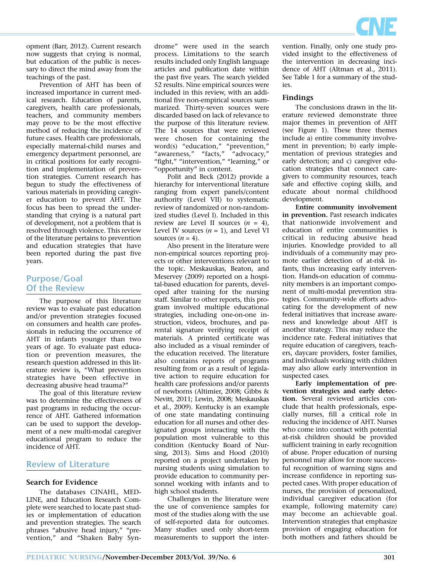

opment (Barr, 2012). Current research now suggests that crying is normal, but education of the public is necessary to direct the mind away from the teachings of the past.

Prevention of AHT has been of increased importance in current medical research. Education of parents, caregivers, health care professionals, teachers, and community members may prove to be the most effective method of reducing the incidence of future cases. Health care professionals, especially maternal-child nurses and emergency department personnel, are in critical positions for early recognition and implementation of prevention strategies. Current research has begun to study the effectiveness of various materials in providing caregiver education to prevent AHT. The focus has been to spread the understanding that crying is a natural part of development, not a problem that is resolved through violence. This review of the literature pertains to prevention and education strategies that have been reported during the past five years.

# **Purpose/Goal Of the Review**

The purpose of this literature review was to evaluate past education and/or prevention strategies focused on consumers and health care professionals in reducing the occurrence of AHT in infants younger than two years of age. To evaluate past education or prevention measures, the research question addressed in this literature review is, "What prevention strategies have been effective in decreasing abusive head trauma?"

The goal of this literature review was to determine the effectiveness of past programs in reducing the occurrence of AHT. Gathered information can be used to support the development of a new multi-modal caregiver educational program to reduce the incidence of AHT.

# **Review of Literature**

### **Search for Evidence**

The databases CINAHL, MED-LINE, and Education Research Complete were searched to locate past studies or implementation of education and prevention strategies. The search phrases "abusive head injury," "prevention," and "Shaken Baby Syndrome" were used in the search process. Limitations to the search results included only English language articles and publication date within the past five years. The search yielded 52 results. Nine empirical sources were included in this review, with an additional five non-empirical sources summarized. Thirty-seven sources were discarded based on lack of relevance to the purpose of this literature review. The 14 sources that were reviewed were chosen for containing the word(s) "education," "prevention," "awareness," "facts," "advocacy," "fight," "intervention," "learning," or "opportunity" in content.

Polit and Beck (2012) provide a hierarchy for interventional literature ranging from expert panels/content authority (Level VII) to systematic review of randomized or non-randomized studies (Level I). Included in this review are Level II sources  $(n = 4)$ , Level IV sources  $(n = 1)$ , and Level VI sources  $(n = 4)$ .

Also present in the literature were non-empirical sources reporting projects or other interventions relevant to the topic. Meskauskas, Beaton, and Meservey (2009) reported on a hospital-based education for parents, developed after training for the nursing staff. Similar to other reports, this program involved multiple educational strategies, including one-on-one instruction, videos, brochures, and parental signature verifying receipt of materials. A printed certificate was also included as a visual reminder of the education received. The literature also contains reports of programs resulting from or as a result of legislative action to require education for health care professions and/or parents of newborns (Altimier, 2008; Gibbs & Nevitt, 2011; Lewin, 2008; Meskauskas et al., 2009). Kentucky is an example of one state mandating continuing education for all nurses and other designated groups interacting with the population most vulnerable to this condition (Kentucky Board of Nursing, 2013). Sims and Hood (2010) reported on a project undertaken by nursing students using simulation to provide education to community personnel working with infants and to high school students.

Challenges in the literature were the use of convenience samples for most of the studies along with the use of self-reported data for outcomes. Many studies used only short-term measurements to support the inter-

vention. Finally, only one study provided insight to the effectiveness of the intervention in decreasing incidence of AHT (Altman et al., 2011). See Table 1 for a summary of the studies.

### **Findings**

The conclusions drawn in the literature reviewed demonstrate three major themes in prevention of AHT (see Figure 1). These three themes include a) entire community involvement in prevention; b) early implementation of previous strategies and early detection; and c) caregiver education strategies that connect caregivers to community resources, teach safe and effective coping skills, and educate about normal childhood development.

**Entire community involvement in prevention.** Past research indicates that nationwide involvement and education of entire communities is critical in reducing abusive head injuries. Knowledge provided to all individuals of a community may promote earlier detection of at-risk infants, thus increasing early intervention. Hands-on education of community members is an important component of multi-modal prevention strategies. Community-wide efforts advocating for the development of new federal initiatives that increase awareness and knowledge about AHT is another strategy. This may reduce the incidence rate. Federal initiatives that require education of caregivers, teachers, daycare providers, foster families, and individuals working with children may also allow early intervention in suspected cases.

**Early implementation of prevention strategies and early detection.** Several reviewed articles conclude that health professionals, especially nurses, fill a critical role in reducing the incidence of AHT. Nurses who come into contact with potential at-risk children should be provided sufficient training in early recognition of abuse. Proper education of nursing personnel may allow for more successful recognition of warning signs and increase confidence in reporting suspected cases. With proper education of nurses, the provision of personalized, individual caregiver education (for example, following maternity care) may become an achievable goal. Intervention strategies that emphasize provision of engaging education for both mothers and fathers should be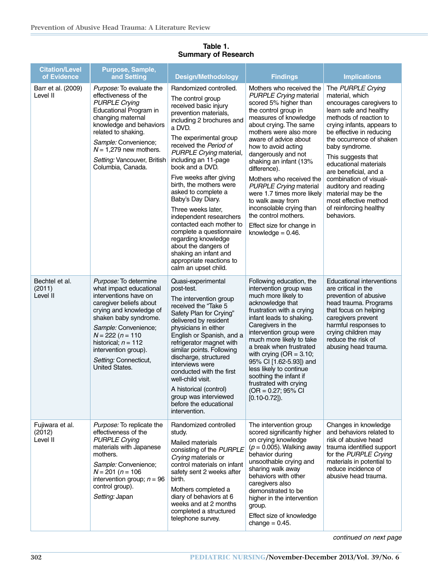| <b>Citation/Level</b><br>of Evidence  | Purpose, Sample,<br>and Setting                                                                                                                                                                                                                                                                    | <b>Design/Methodology</b>                                                                                                                                                                                                                                                                                                                                                                                                                                                                                                                                                                             | <b>Findings</b>                                                                                                                                                                                                                                                                                                                                                                                                                                                                                                                   | <b>Implications</b>                                                                                                                                                                                                                                                                                                                                                                                                                            |
|---------------------------------------|----------------------------------------------------------------------------------------------------------------------------------------------------------------------------------------------------------------------------------------------------------------------------------------------------|-------------------------------------------------------------------------------------------------------------------------------------------------------------------------------------------------------------------------------------------------------------------------------------------------------------------------------------------------------------------------------------------------------------------------------------------------------------------------------------------------------------------------------------------------------------------------------------------------------|-----------------------------------------------------------------------------------------------------------------------------------------------------------------------------------------------------------------------------------------------------------------------------------------------------------------------------------------------------------------------------------------------------------------------------------------------------------------------------------------------------------------------------------|------------------------------------------------------------------------------------------------------------------------------------------------------------------------------------------------------------------------------------------------------------------------------------------------------------------------------------------------------------------------------------------------------------------------------------------------|
| Barr et al. (2009)<br>Level II        | Purpose: To evaluate the<br>effectiveness of the<br><b>PURPLE Crying</b><br>Educational Program in<br>changing maternal<br>knowledge and behaviors<br>related to shaking.<br>Sample: Convenience;<br>$N = 1,279$ new mothers.<br>Setting: Vancouver, British<br>Columbia, Canada.                  | Randomized controlled.<br>The control group<br>received basic injury<br>prevention materials,<br>including 2 brochures and<br>a DVD.<br>The experimental group<br>received the Period of<br>PURPLE Crying material,<br>including an 11-page<br>book and a DVD.<br>Five weeks after giving<br>birth, the mothers were<br>asked to complete a<br>Baby's Day Diary.<br>Three weeks later,<br>independent researchers<br>contacted each mother to<br>complete a questionnaire<br>regarding knowledge<br>about the dangers of<br>shaking an infant and<br>appropriate reactions to<br>calm an upset child. | Mothers who received the<br><b>PURPLE Crying material</b><br>scored 5% higher than<br>the control group in<br>measures of knowledge<br>about crying. The same<br>mothers were also more<br>aware of advice about<br>how to avoid acting<br>dangerously and not<br>shaking an infant (13%<br>difference).<br>Mothers who received the<br><b>PURPLE Crying material</b><br>were 1.7 times more likely<br>to walk away from<br>inconsolable crying than<br>the control mothers.<br>Effect size for change in<br>knowledge $= 0.46$ . | The PURPLE Crying<br>material, which<br>encourages caregivers to<br>learn safe and healthy<br>methods of reaction to<br>crying infants, appears to<br>be effective in reducing<br>the occurrence of shaken<br>baby syndrome.<br>This suggests that<br>educational materials<br>are beneficial, and a<br>combination of visual-<br>auditory and reading<br>material may be the<br>most effective method<br>of reinforcing healthy<br>behaviors. |
| Bechtel et al.<br>(2011)<br>Level II  | Purpose: To determine<br>what impact educational<br>interventions have on<br>caregiver beliefs about<br>crying and knowledge of<br>shaken baby syndrome.<br>Sample: Convenience;<br>$N = 222(n = 110)$<br>historical; $n = 112$<br>intervention group).<br>Setting: Connecticut,<br>United States. | Quasi-experimental<br>post-test.<br>The intervention group<br>received the "Take 5<br>Safety Plan for Crying"<br>delivered by resident<br>physicians in either<br>English or Spanish, and a<br>refrigerator magnet with<br>similar points. Following<br>discharge, structured<br>interviews were<br>conducted with the first<br>well-child visit.<br>A historical (control)<br>group was interviewed<br>before the educational<br>intervention.                                                                                                                                                       | Following education, the<br>intervention group was<br>much more likely to<br>acknowledge that<br>frustration with a crying<br>infant leads to shaking.<br>Caregivers in the<br>intervention group were<br>much more likely to take<br>a break when frustrated<br>with crying $(OR = 3.10;$<br>95% CI [1.62-5.93]) and<br>less likely to continue<br>soothing the infant if<br>frustrated with crying<br>$(OR = 0.27; 95\% \text{ Cl})$<br>$[0.10 - 0.72]$ .                                                                       | Educational interventions<br>are critical in the<br>prevention of abusive<br>head trauma. Programs<br>that focus on helping<br>caregivers prevent<br>harmful responses to<br>crying children may<br>reduce the risk of<br>abusing head trauma.                                                                                                                                                                                                 |
| Fujiwara et al.<br>(2012)<br>Level II | Purpose: To replicate the<br>effectiveness of the<br><b>PURPLE Crying</b><br>materials with Japanese<br>mothers.<br>Sample: Convenience;<br>$N = 201 (n = 106)$<br>intervention group; $n = 96$<br>control group).<br>Setting: Japan                                                               | Randomized controlled<br>study.<br>Mailed materials<br>consisting of the PURPLE<br>Crying materials or<br>control materials on infant<br>safety sent 2 weeks after<br>birth.<br>Mothers completed a<br>diary of behaviors at 6<br>weeks and at 2 months<br>completed a structured<br>telephone survey.                                                                                                                                                                                                                                                                                                | The intervention group<br>scored significantly higher<br>on crying knowledge<br>$(p = 0.005)$ . Walking away<br>behavior during<br>unsoothable crying and<br>sharing walk away<br>behaviors with other<br>caregivers also<br>demonstrated to be<br>higher in the intervention<br>group.<br>Effect size of knowledge<br>change $= 0.45$ .                                                                                                                                                                                          | Changes in knowledge<br>and behaviors related to<br>risk of abusive head<br>trauma identified support<br>for the PURPLE Crying<br>materials in potential to<br>reduce incidence of<br>abusive head trauma.                                                                                                                                                                                                                                     |

**Table 1. Summary of Research**

continued on next page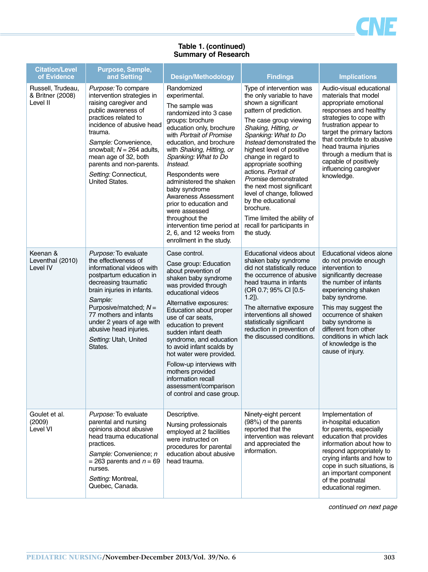

## **Table 1. (continued) Summary of Research**

| <b>Citation/Level</b><br>of Evidence              | Purpose, Sample,<br>and Setting                                                                                                                                                                                                                                                                                         | <b>Design/Methodology</b>                                                                                                                                                                                                                                                                                                                                                                                                                                                                  | <b>Findings</b>                                                                                                                                                                                                                                                                                                                                                                                                                                                                                                         | <b>Implications</b>                                                                                                                                                                                                                                                                                                                    |
|---------------------------------------------------|-------------------------------------------------------------------------------------------------------------------------------------------------------------------------------------------------------------------------------------------------------------------------------------------------------------------------|--------------------------------------------------------------------------------------------------------------------------------------------------------------------------------------------------------------------------------------------------------------------------------------------------------------------------------------------------------------------------------------------------------------------------------------------------------------------------------------------|-------------------------------------------------------------------------------------------------------------------------------------------------------------------------------------------------------------------------------------------------------------------------------------------------------------------------------------------------------------------------------------------------------------------------------------------------------------------------------------------------------------------------|----------------------------------------------------------------------------------------------------------------------------------------------------------------------------------------------------------------------------------------------------------------------------------------------------------------------------------------|
| Russell, Trudeau,<br>& Britner (2008)<br>Level II | Purpose: To compare<br>intervention strategies in<br>raising caregiver and<br>public awareness of<br>practices related to<br>incidence of abusive head<br>trauma.<br>Sample: Convenience,<br>snowball; $N = 264$ adults,<br>mean age of 32, both<br>parents and non-parents.<br>Setting: Connecticut,<br>United States. | Randomized<br>experimental.<br>The sample was<br>randomized into 3 case<br>groups: brochure<br>education only, brochure<br>with Portrait of Promise<br>education, and brochure<br>with Shaking, Hitting, or<br>Spanking: What to Do<br>Instead.<br>Respondents were<br>administered the shaken<br>baby syndrome<br>Awareness Assessment<br>prior to education and<br>were assessed<br>throughout the<br>intervention time period at<br>2, 6, and 12 weeks from<br>enrollment in the study. | Type of intervention was<br>the only variable to have<br>shown a significant<br>pattern of prediction.<br>The case group viewing<br>Shaking, Hitting, or<br>Spanking: What to Do<br>Instead demonstrated the<br>highest level of positive<br>change in regard to<br>appropriate soothing<br>actions. Portrait of<br><i>Promise</i> demonstrated<br>the next most significant<br>level of change, followed<br>by the educational<br>brochure.<br>Time limited the ability of<br>recall for participants in<br>the study. | Audio-visual educational<br>materials that model<br>appropriate emotional<br>responses and healthy<br>strategies to cope with<br>frustration appear to<br>target the primary factors<br>that contribute to abusive<br>head trauma injuries<br>through a medium that is<br>capable of positively<br>influencing caregiver<br>knowledge. |
| Keenan &<br>Leventhal (2010)<br>Level IV          | Purpose: To evaluate<br>the effectiveness of<br>informational videos with<br>postpartum education in<br>decreasing traumatic<br>brain injuries in infants.<br>Sample:<br>Purposive/matched; $N =$<br>77 mothers and infants<br>under 2 years of age with<br>abusive head injuries.<br>Setting: Utah, United<br>States.  | Case control.<br>Case group: Education<br>about prevention of<br>shaken baby syndrome<br>was provided through<br>educational videos<br>Alternative exposures:<br>Education about proper<br>use of car seats.<br>education to prevent<br>sudden infant death<br>syndrome, and education<br>to avoid infant scalds by<br>hot water were provided.<br>Follow-up interviews with<br>mothers provided<br>information recall<br>assessment/comparison<br>of control and case group.              | Educational videos about<br>shaken baby syndrome<br>did not statistically reduce<br>the occurrence of abusive<br>head trauma in infants<br>(OR 0.7; 95% CI [0.5-<br>$1.2$ ]).<br>The alternative exposure<br>interventions all showed<br>statistically significant<br>reduction in prevention of<br>the discussed conditions.                                                                                                                                                                                           | Educational videos alone<br>do not provide enough<br>intervention to<br>significantly decrease<br>the number of infants<br>experiencing shaken<br>baby syndrome.<br>This may suggest the<br>occurrence of shaken<br>baby syndrome is<br>different from other<br>conditions in which lack<br>of knowledge is the<br>cause of injury.    |
| Goulet et al.<br>(2009)<br>Level VI               | Purpose: To evaluate<br>parental and nursing<br>opinions about abusive<br>head trauma educational<br>practices.<br>Sample: Convenience; n<br>= 263 parents and $n = 69$<br>nurses.<br>Setting: Montreal,<br>Quebec, Canada.                                                                                             | Descriptive.<br>Nursing professionals<br>employed at 2 facilities<br>were instructed on<br>procedures for parental<br>education about abusive<br>head trauma.                                                                                                                                                                                                                                                                                                                              | Ninety-eight percent<br>(98%) of the parents<br>reported that the<br>intervention was relevant<br>and appreciated the<br>information.                                                                                                                                                                                                                                                                                                                                                                                   | Implementation of<br>in-hospital education<br>for parents, especially<br>education that provides<br>information about how to<br>respond appropriately to<br>crying infants and how to<br>cope in such situations, is<br>an important component<br>of the postnatal<br>educational regimen.                                             |

continued on next page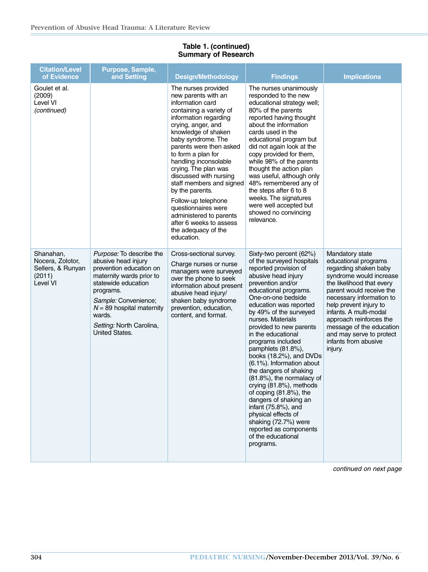| <b>Citation/Level</b><br>of Evidence                                     | Purpose, Sample,<br>and Setting                                                                                                                                                                                                                           | <b>Design/Methodology</b>                                                                                                                                                                                                                                                                                                                                                                                                                                                                                 | <b>Findings</b>                                                                                                                                                                                                                                                                                                                                                                                                                                                                                                                                                                                                                                                               | <b>Implications</b>                                                                                                                                                                                                                                                                                                                                        |
|--------------------------------------------------------------------------|-----------------------------------------------------------------------------------------------------------------------------------------------------------------------------------------------------------------------------------------------------------|-----------------------------------------------------------------------------------------------------------------------------------------------------------------------------------------------------------------------------------------------------------------------------------------------------------------------------------------------------------------------------------------------------------------------------------------------------------------------------------------------------------|-------------------------------------------------------------------------------------------------------------------------------------------------------------------------------------------------------------------------------------------------------------------------------------------------------------------------------------------------------------------------------------------------------------------------------------------------------------------------------------------------------------------------------------------------------------------------------------------------------------------------------------------------------------------------------|------------------------------------------------------------------------------------------------------------------------------------------------------------------------------------------------------------------------------------------------------------------------------------------------------------------------------------------------------------|
| Goulet et al.<br>(2009)<br>Level VI<br>(continued)                       |                                                                                                                                                                                                                                                           | The nurses provided<br>new parents with an<br>information card<br>containing a variety of<br>information regarding<br>crying, anger, and<br>knowledge of shaken<br>baby syndrome. The<br>parents were then asked<br>to form a plan for<br>handling inconsolable<br>crying. The plan was<br>discussed with nursing<br>staff members and signed<br>by the parents.<br>Follow-up telephone<br>questionnaires were<br>administered to parents<br>after 6 weeks to assess<br>the adequacy of the<br>education. | The nurses unanimously<br>responded to the new<br>educational strategy well;<br>80% of the parents<br>reported having thought<br>about the information<br>cards used in the<br>educational program but<br>did not again look at the<br>copy provided for them,<br>while 98% of the parents<br>thought the action plan<br>was useful, although only<br>48% remembered any of<br>the steps after 6 to 8<br>weeks. The signatures<br>were well accepted but<br>showed no convincing<br>relevance.                                                                                                                                                                                |                                                                                                                                                                                                                                                                                                                                                            |
| Shanahan,<br>Nocera, Zolotor,<br>Sellers, & Runyan<br>(2011)<br>Level VI | Purpose: To describe the<br>abusive head injury<br>prevention education on<br>maternity wards prior to<br>statewide education<br>programs.<br>Sample: Convenience;<br>$N = 89$ hospital maternity<br>wards.<br>Setting: North Carolina,<br>United States. | Cross-sectional survey.<br>Charge nurses or nurse<br>managers were surveyed<br>over the phone to seek<br>information about present<br>abusive head injury/<br>shaken baby syndrome<br>prevention, education,<br>content, and format.                                                                                                                                                                                                                                                                      | Sixty-two percent (62%)<br>of the surveyed hospitals<br>reported provision of<br>abusive head injury<br>prevention and/or<br>educational programs.<br>One-on-one bedside<br>education was reported<br>by 49% of the surveyed<br>nurses. Materials<br>provided to new parents<br>in the educational<br>programs included<br>pamphlets (81.8%),<br>books (18.2%), and DVDs<br>(6.1%). Information about<br>the dangers of shaking<br>(81.8%), the normalacy of<br>crying (81.8%), methods<br>of coping (81.8%), the<br>dangers of shaking an<br>infant (75.8%), and<br>physical effects of<br>shaking (72.7%) were<br>reported as components<br>of the educational<br>programs. | Mandatory state<br>educational programs<br>regarding shaken baby<br>syndrome would increase<br>the likelihood that every<br>parent would receive the<br>necessary information to<br>help prevent injury to<br>infants. A multi-modal<br>approach reinforces the<br>message of the education<br>and may serve to protect<br>infants from abusive<br>injury. |

# **Table 1. (continued) Summary of Research**

continued on next page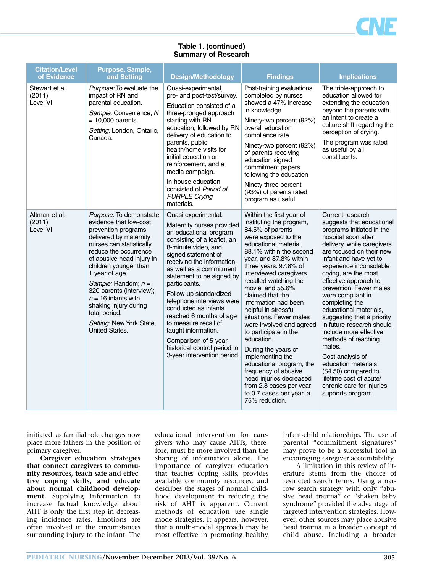

## **Table 1. (continued) Summary of Research**

| <b>Citation/Level</b><br>of Evidence | <b>Purpose, Sample,</b><br>and Setting                                                                                                                                                                                                                                                                                                                                                                | <b>Design/Methodology</b>                                                                                                                                                                                                                                                                                                                                                                                                                                                                                      | <b>Findings</b>                                                                                                                                                                                                                                                                                                                                                                                                                                                                                                                                                                                                                                    | <b>Implications</b>                                                                                                                                                                                                                                                                                                                                                                                                                                                                                                                                                                                                                 |
|--------------------------------------|-------------------------------------------------------------------------------------------------------------------------------------------------------------------------------------------------------------------------------------------------------------------------------------------------------------------------------------------------------------------------------------------------------|----------------------------------------------------------------------------------------------------------------------------------------------------------------------------------------------------------------------------------------------------------------------------------------------------------------------------------------------------------------------------------------------------------------------------------------------------------------------------------------------------------------|----------------------------------------------------------------------------------------------------------------------------------------------------------------------------------------------------------------------------------------------------------------------------------------------------------------------------------------------------------------------------------------------------------------------------------------------------------------------------------------------------------------------------------------------------------------------------------------------------------------------------------------------------|-------------------------------------------------------------------------------------------------------------------------------------------------------------------------------------------------------------------------------------------------------------------------------------------------------------------------------------------------------------------------------------------------------------------------------------------------------------------------------------------------------------------------------------------------------------------------------------------------------------------------------------|
| Stewart et al.<br>(2011)<br>Level VI | Purpose: To evaluate the<br>impact of RN and<br>parental education.<br>Sample: Convenience; N<br>$= 10,000$ parents.<br>Setting: London, Ontario,<br>Canada.                                                                                                                                                                                                                                          | Quasi-experimental,<br>pre- and post-test/survey.<br>Education consisted of a<br>three-pronged approach<br>starting with RN<br>education, followed by RN<br>delivery of education to<br>parents, public<br>health/home visits for<br>initial education or<br>reinforcement, and a<br>media campaign.<br>In-house education<br>consisted of Period of<br><b>PURPLE Crying</b><br>materials.                                                                                                                     | Post-training evaluations<br>completed by nurses<br>showed a 47% increase<br>in knowledge<br>Ninety-two percent (92%)<br>overall education<br>compliance rate.<br>Ninety-two percent (92%)<br>of parents receiving<br>education signed<br>commitment papers<br>following the education<br>Ninety-three percent<br>(93%) of parents rated<br>program as useful.                                                                                                                                                                                                                                                                                     | The triple-approach to<br>education allowed for<br>extending the education<br>beyond the parents with<br>an intent to create a<br>culture shift regarding the<br>perception of crying.<br>The program was rated<br>as useful by all<br>constituents.                                                                                                                                                                                                                                                                                                                                                                                |
| Altman et al.<br>(2011)<br>Level VI  | Purpose: To demonstrate<br>evidence that low-cost<br>prevention programs<br>delivered by maternity<br>nurses can statistically<br>reduce the occurrence<br>of abusive head injury in<br>children younger than<br>1 year of age.<br>Sample: Random; $n =$<br>320 parents (interview);<br>$n = 16$ infants with<br>shaking injury during<br>total period.<br>Setting: New York State,<br>United States. | Quasi-experimental.<br>Maternity nurses provided<br>an educational program<br>consisting of a leaflet, an<br>8-minute video, and<br>signed statement of<br>receiving the information,<br>as well as a commitment<br>statement to be signed by<br>participants.<br>Follow-up standardized<br>telephone interviews were<br>conducted as infants<br>reached 6 months of age<br>to measure recall of<br>taught information.<br>Comparison of 5-year<br>historical control period to<br>3-year intervention period. | Within the first year of<br>instituting the program,<br>84.5% of parents<br>were exposed to the<br>educational material,<br>88.1% within the second<br>year, and 87.8% within<br>three years. 97.8% of<br>interviewed caregivers<br>recalled watching the<br>movie, and 55.6%<br>claimed that the<br>information had been<br>helpful in stressful<br>situations. Fewer males<br>were involved and agreed<br>to participate in the<br>education.<br>During the years of<br>implementing the<br>educational program, the<br>frequency of abusive<br>head injuries decreased<br>from 2.8 cases per year<br>to 0.7 cases per year, a<br>75% reduction. | Current research<br>suggests that educational<br>programs initiated in the<br>hospital soon after<br>delivery, while caregivers<br>are focused on their new<br>infant and have yet to<br>experience inconsolable<br>crying, are the most<br>effective approach to<br>prevention. Fewer males<br>were compliant in<br>completing the<br>educational materials,<br>suggesting that a priority<br>in future research should<br>include more effective<br>methods of reaching<br>males.<br>Cost analysis of<br>education materials<br>(\$4.50) compared to<br>lifetime cost of acute/<br>chronic care for injuries<br>supports program. |

initiated, as familial role changes now place more fathers in the position of primary caregiver.

**Caregiver education strategies that connect caregivers to community resources, teach safe and effective coping skills, and educate about normal childhood development.** Supplying information to increase factual knowledge about AHT is only the first step in decreasing incidence rates. Emotions are often involved in the circumstances surrounding injury to the infant. The

educational intervention for caregivers who may cause AHTs, therefore, must be more involved than the sharing of information alone. The importance of caregiver education that teaches coping skills, provides available community resources, and describes the stages of normal childhood development in reducing the risk of AHT is apparent. Current methods of education use single mode strategies. It appears, however, that a multi-modal approach may be most effective in promoting healthy

infant-child relationships. The use of parental "commitment signatures" may prove to be a successful tool in encouraging caregiver accountability.

A limitation in this review of literature stems from the choice of restricted search terms. Using a narrow search strategy with only "abusive head trauma" or "shaken baby syndrome" provided the advantage of targeted intervention strategies. However, other sources may place abusive head trauma in a broader concept of child abuse. Including a broader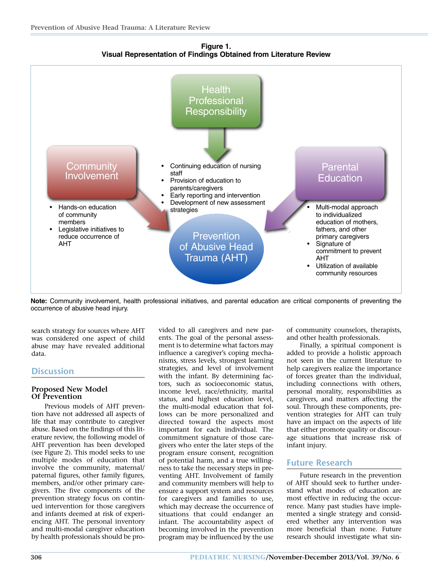



**Note:** Community involvement, health professional initiatives, and parental education are critical components of preventing the occurrence of abusive head injury.

search strategy for sources where AHT was considered one aspect of child abuse may have revealed additional data.

# **Discussion**

#### **Proposed New Model Of Prevention**

Previous models of AHT prevention have not addressed all aspects of life that may contribute to caregiver abuse. Based on the findings of this literature review, the following model of AHT prevention has been developed (see Figure 2). This model seeks to use multiple modes of education that involve the community, maternal/ paternal figures, other family figures, members, and/or other primary caregivers. The five components of the prevention strategy focus on continued intervention for those caregivers and infants deemed at risk of experiencing AHT. The personal inventory and multi-modal caregiver education by health professionals should be provided to all caregivers and new parents. The goal of the personal assessment is to determine what factors may influence a caregiver's coping mechanisms, stress levels, strongest learning strategies, and level of involvement with the infant. By determining factors, such as socioeconomic status, income level, race/ethnicity, marital status, and highest education level, the multi-modal education that follows can be more personalized and directed toward the aspects most important for each individual. The commitment signature of those caregivers who enter the later steps of the program ensure consent, recognition of potential harm, and a true willingness to take the necessary steps in preventing AHT. Involvement of family and community members will help to ensure a support system and resources for caregivers and families to use, which may decrease the occurrence of situations that could endanger an infant. The accountability aspect of becoming involved in the prevention program may be influenced by the use

of community counselors, therapists, and other health professionals.

Finally, a spiritual component is added to provide a holistic approach not seen in the current literature to help caregivers realize the importance of forces greater than the individual, including connections with others, personal morality, responsibilities as caregivers, and matters affecting the soul. Through these components, prevention strategies for AHT can truly have an impact on the aspects of life that either promote quality or discourage situations that increase risk of infant injury.

# **Future Research**

Future research in the prevention of AHT should seek to further understand what modes of education are most effective in reducing the occurrence. Many past studies have implemented a single strategy and considered whether any intervention was more beneficial than none. Future research should investigate what sin-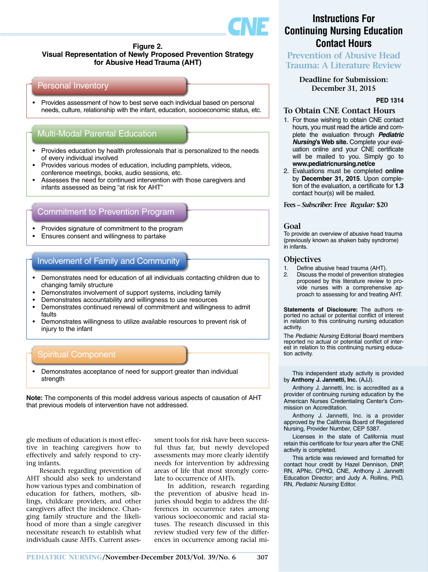

#### **Figure 2. Visual Representation of Newly Proposed Prevention Strategy for Abusive Head Trauma (AHT)**

# Personal Inventory

• Provides assessment of how to best serve each individual based on personal needs, culture, relationship with the infant, education, socioeconomic status, etc.

# Multi-Modal Parental Education

- Provides education by health professionals that is personalized to the needs of every individual involved
- Provides various modes of education, including pamphlets, videos, conference meetings, books, audio sessions, etc.
- Assesses the need for continued intervention with those caregivers and infants assessed as being "at risk for AHT"

# Commitment to Prevention Program

- Provides signature of commitment to the program
- Ensures consent and willingness to partake

# Involvement of Family and Community

- Demonstrates need for education of all individuals contacting children due to changing family structure
- Demonstrates involvement of support systems, including family
- Demonstrates accountability and willingness to use resources
- Demonstrates continued renewal of commitment and willingness to admit faults
- Demonstrates willingness to utilize available resources to prevent risk of injury to the infant

# Spiritual Component

• Demonstrates acceptance of need for support greater than individual strength

**Note:** The components of this model address various aspects of causation of AHT that previous models of intervention have not addressed.

gle medium of education is most effective in teaching caregivers how to effectively and safely respond to crying infants.

Research regarding prevention of AHT should also seek to understand how various types and combination of education for fathers, mothers, siblings, childcare providers, and other caregivers affect the incidence. Changing family structure and the likelihood of more than a single caregiver necessitate research to establish what individuals cause AHTs. Current assessment tools for risk have been successful thus far, but newly developed assessments may more clearly identify needs for intervention by addressing areas of life that most strongly correlate to occurrence of AHTs.

In addition, research regarding the prevention of abusive head injuries should begin to address the differences in occurrence rates among various socioeconomic and racial statuses. The research discussed in this review studied very few of the differences in occurrence among racial mi -

# **Instructions For Continuing Nursing Education Contact Hours**

**Prevention of Abusive Head Trauma: A Literature Review**

> **Deadline for Submission: December 31, 2015**

> > **PED 1314**

# **To Obtain CNE Contact Hours**

- 1. For those wishing to obtain CNE contact hours, you must read the article and complete the evaluation through **Pediatric Nursing's Web site.** Complete your evaluation online and your CNE certificate will be mailed to you. Simply go to **www.pediatricnursing.net/ce**
- 2. Evaluations must be completed **online** by **December 31, 2015**. Upon completion of the evaluation, a certificate for **1.3** contact hour(s) will be mailed.

#### **Fees –** *Subscriber:* **Free** *Regular:* **\$20**

### **Goal**

To provide an overview of abusive head trauma (previously known as shaken baby syndrome) in infants.

### **Objectives**

- 1. Define abusive head trauma (AHT).<br>2. Discuss the model of prevention stra
- Discuss the model of prevention strategies proposed by this literature review to provide nurses with a comprehensive approach to assessing for and treating AHT.

**Statements of Disclosure:** The authors reported no actual or potential conflict of interest in relation to this continuing nursing education activity.

The Pediatric Nursing Editorial Board members reported no actual or potential conflict of interest in relation to this continuing nursing education activity.

This independent study activity is provided by **Anthony J. Jannetti, Inc.** (AJJ).

Anthony J. Jannetti, Inc. is accredited as a provider of continuing nursing education by the American Nurses Credentialing Center's Com mission on Accreditation.

Anthony J. Jannetti, Inc. is a provider approved by the California Board of Registered Nursing, Provider Number, CEP 5387.

Licenses in the state of California must retain this certificate for four years after the CNE activity is completed.

This article was reviewed and formatted for contact hour credit by Hazel Dennison, DNP, RN, APNc, CPHQ, CNE, Anthony J. Jannetti Education Director; and Judy A. Rollins, PhD, RN, Pediatric Nursing Editor.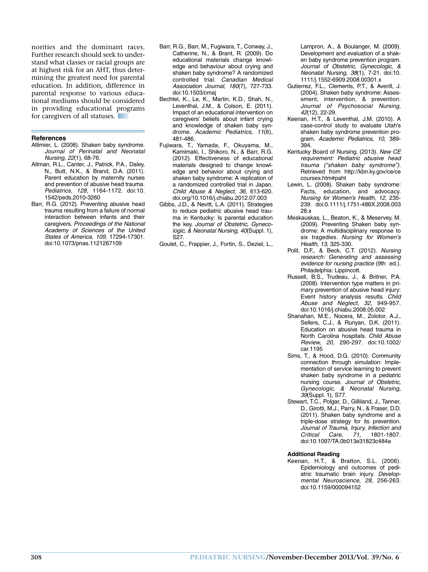norities and the dominant races. Further research should seek to understand what classes or racial groups are at highest risk for an AHT, thus determining the greatest need for parental education. In addition, difference in parental response to various educational mediums should be considered in providing educational programs for caregivers of all statuses.

#### **References**

- Altimier, L. (2008). Shaken baby syndrome. Journal of Perinatal and Neonatal Nursing, 22(1), 68-76.
- Altman, R.L., Canter, J., Patrick, P.A., Daley, N., Butt, N.K., & Brand, D.A. (2011). Parent education by maternity nurses and prevention of abusive head trauma. Pediatrics, 128, 1164-1172. doi:10. 1542/peds.2010-3260
- Barr, R.G. (2012). Preventing abusive head trauma resulting from a failure of normal interaction between infants and their caregivers. Proceedings of the National Academy of Sciences of the United States of America, 109, 17294-17301. doi:10.1073/pnas.1121267109
- Barr, R.G., Barr, M., Fugiwara, T., Conway, J., Catherine, N., & Brant, R. (2009). Do educational materials change knowledge and behaviour about crying and shaken baby syndrome? A randomized controlled trial. Canadian Medical Association Journal, 180(7), 727-733. doi:10.1503/cmaj
- Bechtel, K., Le, K., Martin, K.D., Shah, N., Leventhal, J.M., & Colson, E. (2011). Impact of an educational intervention on caregivers' beliefs about infant crying and knowledge of shaken baby syndrome. Academic Pediatrics, 11(6), 481-486.
- Fujiwara, T., Yamada, F., Okuyama, M., Kamimaki, I., Shikoro, N., & Barr, R.G. (2012). Effectiveness of educational materials designed to change knowledge and behavior about crying and shaken baby syndrome: A replication of a randomized controlled trial in Japan. Child Abuse & Neglect, 36, 613-620. doi.org/10.1016/j.chiabu.2012.07.003
- Gibbs, J.D., & Nevitt, L.A. (2011). Strategies to reduce pediatric abusive head trauma in Kentucky: Is parental education the key. Journal of Obstetric, Gynecologic, & Neonatal Nursing, 40(Suppl. 1), S27.
- Goulet, C., Frappier, J., Fortin, S., Deziel, L.,

Lampron, A., & Boulanger, M. (2009). Development and evaluation of a shaken baby syndrome prevention program. Journal of Obstetric, Gynecologic, & Neonatal Nursing, 38(1), 7-21. doi:10. 1111/j.1552-6909.2008.00301.x

- Gutierrez, F.L., Clements, P.T., & Averill, J. (2004). Shaken baby syndrome: Assessment, intervention, & prevention. Journal of Psychosocial Nursing, 42(12), 22-29.
- Keenan, H.T., & Leventhal, J.M. (2010). A case-control study to evaluate Utah's shaken baby syndrome prevention program. Academic Pediatrics, 10, 389- 394.
- Kentucky Board of Nursing. (2013). New CE requirement: Pediatric abusive head trauma ("shaken baby syndrome"). Retrieved from http://kbn.ky.gov/ce/ce courses.htm#paht
- Lewin, L. (2008). Shaken baby syndrome: Facts, education, and advocacy. Nursing for Women's Health, 12, 235- 239. doi:0.1111/j.1751-486X.2008.003 28.x
- Meskauskas, L., Beaton, K., & Meservey, M. (2009). Preventing Shaken baby syndrome: A multidisciplinary response to six tragedies. Nursing for Women's Health, 13, 325-330.
- Polit, D.F., & Beck, C.T. (2012). Nursing research: Generating and assessing evidence for nursing practice (9th ed.). Philadelphia: Lippincott.
- Russell, B.S., Trudeau, J., & Britner, P.A. (2008). Intervention type matters in primary prevention of abusive head injury: Event history analysis results. Child Abuse and Neglect, 32, 949-957. doi:10.1016/j.chiabu.2008.05.002
- Shanahan, M.E., Nocera, M., Zolotor, A.J., Sellers, C.J., & Runyan, D.K. (2011). Education on abusive head trauma in North Carolina hospitals. Child Abuse Review, 20, 290-297. doi:10.1002/ car.1195
- Sims, T., & Hood, D.G. (2010). Community connection through simulation: Implementation of service learning to prevent shaken baby syndrome in a pediatric nursing course. Journal of Obstetric, Gynecologic, & Neonatal Nursing, 39(Suppl. 1), S77.
- Stewart, T.C., Polgar, D., Gilliland, J., Tanner, D., Girotti, M.J., Parry, N., & Fraser, D.D. (2011). Shaken baby syndrome and a triple-dose strategy for its prevention. Journal of Trauma, Injury, Infection and Critical Care, 71, 1801-1807. doi:10.1097/TA.0b013e31823c484a

#### **Additional Reading**

Keenan, H.T., & Bratton, S.L. (2006). Epidemiology and outcomes of pediatric traumatic brain injury. Developmental Neuroscience, 28, 256-263. doi:10.1159/000094152